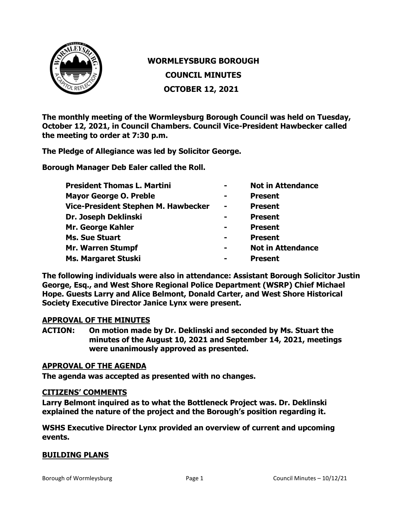

# **WORMLEYSBURG BOROUGH COUNCIL MINUTES OCTOBER 12, 2021**

**The monthly meeting of the Wormleysburg Borough Council was held on Tuesday, October 12, 2021, in Council Chambers. Council Vice-President Hawbecker called the meeting to order at 7:30 p.m.**

**The Pledge of Allegiance was led by Solicitor George.**

**Borough Manager Deb Ealer called the Roll.**

| $\blacksquare$ | <b>Not in Attendance</b> |
|----------------|--------------------------|
| $\blacksquare$ | <b>Present</b>           |
| $\blacksquare$ | <b>Present</b>           |
| $\blacksquare$ | <b>Present</b>           |
| -              | <b>Present</b>           |
| $\blacksquare$ | <b>Present</b>           |
| $\blacksquare$ | <b>Not in Attendance</b> |
| $\equiv$       | <b>Present</b>           |
|                |                          |

**The following individuals were also in attendance: Assistant Borough Solicitor Justin George, Esq., and West Shore Regional Police Department (WSRP) Chief Michael Hope. Guests Larry and Alice Belmont, Donald Carter, and West Shore Historical Society Executive Director Janice Lynx were present.** 

#### **APPROVAL OF THE MINUTES**

**ACTION: On motion made by Dr. Deklinski and seconded by Ms. Stuart the minutes of the August 10, 2021 and September 14, 2021, meetings were unanimously approved as presented.**

## **APPROVAL OF THE AGENDA**

**The agenda was accepted as presented with no changes.**

#### **CITIZENS' COMMENTS**

**Larry Belmont inquired as to what the Bottleneck Project was. Dr. Deklinski explained the nature of the project and the Borough's position regarding it.**

**WSHS Executive Director Lynx provided an overview of current and upcoming events.**

# **BUILDING PLANS**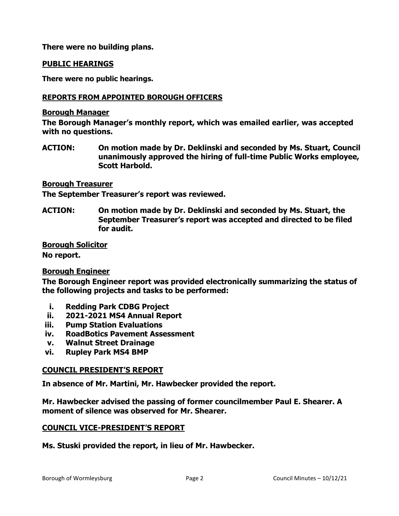**There were no building plans.** 

## **PUBLIC HEARINGS**

**There were no public hearings.**

#### **REPORTS FROM APPOINTED BOROUGH OFFICERS**

#### **Borough Manager**

**The Borough Manager's monthly report, which was emailed earlier, was accepted with no questions.**

**ACTION: On motion made by Dr. Deklinski and seconded by Ms. Stuart, Council unanimously approved the hiring of full-time Public Works employee, Scott Harbold.** 

**Borough Treasurer**

**The September Treasurer's report was reviewed.**

**ACTION: On motion made by Dr. Deklinski and seconded by Ms. Stuart, the September Treasurer's report was accepted and directed to be filed for audit.**

## **Borough Solicitor**

**No report.**

# **Borough Engineer**

**The Borough Engineer report was provided electronically summarizing the status of the following projects and tasks to be performed:**

- **i. Redding Park CDBG Project**
- **ii. 2021-2021 MS4 Annual Report**
- **iii. Pump Station Evaluations**
- **iv. RoadBotics Pavement Assessment**
- **v. Walnut Street Drainage**
- **vi. Rupley Park MS4 BMP**

# **COUNCIL PRESIDENT'S REPORT**

**In absence of Mr. Martini, Mr. Hawbecker provided the report.**

**Mr. Hawbecker advised the passing of former councilmember Paul E. Shearer. A moment of silence was observed for Mr. Shearer.**

# **COUNCIL VICE-PRESIDENT'S REPORT**

**Ms. Stuski provided the report, in lieu of Mr. Hawbecker.**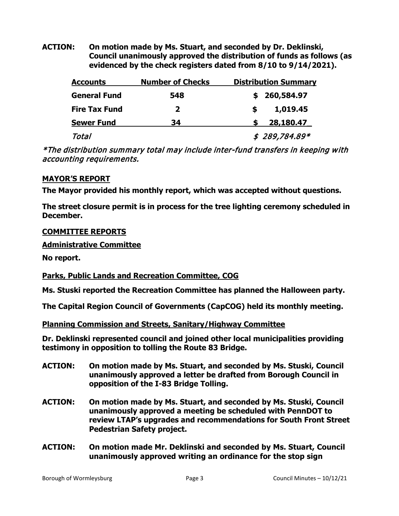**ACTION: On motion made by Ms. Stuart, and seconded by Dr. Deklinski, Council unanimously approved the distribution of funds as follows (as evidenced by the check registers dated from 8/10 to 9/14/2021).**

| <b>Accounts</b>      | <b>Number of Checks</b> | <b>Distribution Summary</b> |                |
|----------------------|-------------------------|-----------------------------|----------------|
| <b>General Fund</b>  | 548                     |                             | \$260,584.97   |
| <b>Fire Tax Fund</b> | $\mathbf{z}$            | S                           | 1,019.45       |
| <b>Sewer Fund</b>    | 34                      |                             | 28,180.47      |
| Total                |                         |                             | $$289,784.89*$ |

\*The distribution summary total may include inter-fund transfers in keeping with accounting requirements.

# **MAYOR'S REPORT**

**The Mayor provided his monthly report, which was accepted without questions.** 

**The street closure permit is in process for the tree lighting ceremony scheduled in December.**

# **COMMITTEE REPORTS**

**Administrative Committee** 

**No report.**

# **Parks, Public Lands and Recreation Committee, COG**

**Ms. Stuski reported the Recreation Committee has planned the Halloween party.**

**The Capital Region Council of Governments (CapCOG) held its monthly meeting.**

**Planning Commission and Streets, Sanitary/Highway Committee**

**Dr. Deklinski represented council and joined other local municipalities providing testimony in opposition to tolling the Route 83 Bridge.**

- **ACTION: On motion made by Ms. Stuart, and seconded by Ms. Stuski, Council unanimously approved a letter be drafted from Borough Council in opposition of the I-83 Bridge Tolling.**
- **ACTION: On motion made by Ms. Stuart, and seconded by Ms. Stuski, Council unanimously approved a meeting be scheduled with PennDOT to review LTAP's upgrades and recommendations for South Front Street Pedestrian Safety project.**
- **ACTION: On motion made Mr. Deklinski and seconded by Ms. Stuart, Council unanimously approved writing an ordinance for the stop sign**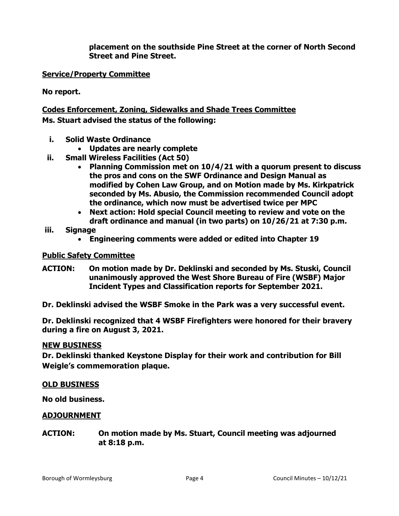**placement on the southside Pine Street at the corner of North Second Street and Pine Street.** 

# **Service/Property Committee**

**No report.**

# **Codes Enforcement, Zoning, Sidewalks and Shade Trees Committee Ms. Stuart advised the status of the following:**

- **i. Solid Waste Ordinance**
	- **Updates are nearly complete**
- **ii. Small Wireless Facilities (Act 50)**
	- **Planning Commission met on 10/4/21 with a quorum present to discuss the pros and cons on the SWF Ordinance and Design Manual as modified by Cohen Law Group, and on Motion made by Ms. Kirkpatrick seconded by Ms. Abusio, the Commission recommended Council adopt the ordinance, which now must be advertised twice per MPC**
	- **Next action: Hold special Council meeting to review and vote on the draft ordinance and manual (in two parts) on 10/26/21 at 7:30 p.m.**
- **iii. Signage**
	- **Engineering comments were added or edited into Chapter 19**

# **Public Safety Committee**

**ACTION: On motion made by Dr. Deklinski and seconded by Ms. Stuski, Council unanimously approved the West Shore Bureau of Fire (WSBF) Major Incident Types and Classification reports for September 2021.** 

**Dr. Deklinski advised the WSBF Smoke in the Park was a very successful event.**

**Dr. Deklinski recognized that 4 WSBF Firefighters were honored for their bravery during a fire on August 3, 2021.**

#### **NEW BUSINESS**

**Dr. Deklinski thanked Keystone Display for their work and contribution for Bill Weigle's commemoration plaque.**

#### **OLD BUSINESS**

**No old business.**

# **ADJOURNMENT**

**ACTION: On motion made by Ms. Stuart, Council meeting was adjourned at 8:18 p.m.**